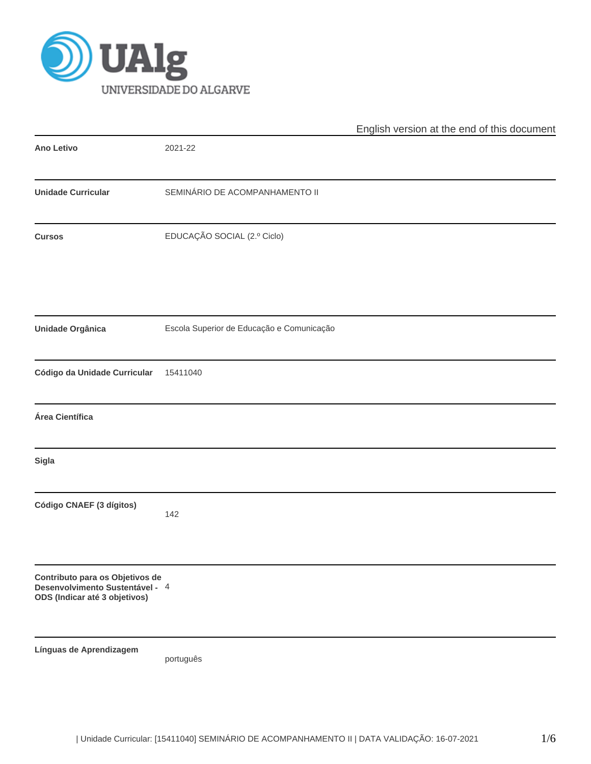

|                                                                                                     |                                           | English version at the end of this document |
|-----------------------------------------------------------------------------------------------------|-------------------------------------------|---------------------------------------------|
| Ano Letivo                                                                                          | 2021-22                                   |                                             |
| <b>Unidade Curricular</b>                                                                           | SEMINÁRIO DE ACOMPANHAMENTO II            |                                             |
| <b>Cursos</b>                                                                                       | EDUCAÇÃO SOCIAL (2.º Ciclo)               |                                             |
| <b>Unidade Orgânica</b>                                                                             | Escola Superior de Educação e Comunicação |                                             |
| Código da Unidade Curricular                                                                        | 15411040                                  |                                             |
| Área Científica                                                                                     |                                           |                                             |
| <b>Sigla</b>                                                                                        |                                           |                                             |
| Código CNAEF (3 dígitos)                                                                            | 142                                       |                                             |
| Contributo para os Objetivos de<br>Desenvolvimento Sustentável - 4<br>ODS (Indicar até 3 objetivos) |                                           |                                             |
| Línguas de Aprendizagem                                                                             | português                                 |                                             |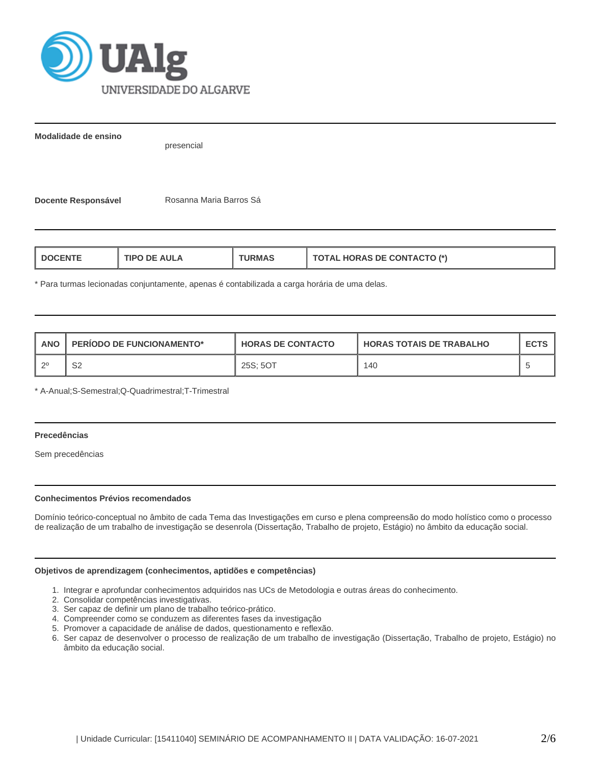

**Modalidade de ensino**

presencial

**Docente Responsável | Rosanna Maria Barros Sá** 

| TIPO DE AULA<br>L DOCENTE<br><b>URMAS</b> | <b>TOTAL HORAS DE CONTACTO (*)</b> |
|-------------------------------------------|------------------------------------|
|-------------------------------------------|------------------------------------|

\* Para turmas lecionadas conjuntamente, apenas é contabilizada a carga horária de uma delas.

| <b>ANO</b> | PERIODO DE FUNCIONAMENTO* | <b>HORAS DE CONTACTO</b> | <b>HORAS TOTAIS DE TRABALHO</b> | <b>ECTS</b> |
|------------|---------------------------|--------------------------|---------------------------------|-------------|
| . റ0       | ິ<br>ےت                   | 25S: 5OT                 | 140                             |             |

\* A-Anual;S-Semestral;Q-Quadrimestral;T-Trimestral

### **Precedências**

Sem precedências

## **Conhecimentos Prévios recomendados**

Domínio teórico-conceptual no âmbito de cada Tema das Investigações em curso e plena compreensão do modo holístico como o processo de realização de um trabalho de investigação se desenrola (Dissertação, Trabalho de projeto, Estágio) no âmbito da educação social.

## **Objetivos de aprendizagem (conhecimentos, aptidões e competências)**

- 1. Integrar e aprofundar conhecimentos adquiridos nas UCs de Metodologia e outras áreas do conhecimento.
- 2. Consolidar competências investigativas.
- 3. Ser capaz de definir um plano de trabalho teórico-prático.
- 4. Compreender como se conduzem as diferentes fases da investigação
- 5. Promover a capacidade de análise de dados, questionamento e reflexão.
- 6. Ser capaz de desenvolver o processo de realização de um trabalho de investigação (Dissertação, Trabalho de projeto, Estágio) no âmbito da educação social.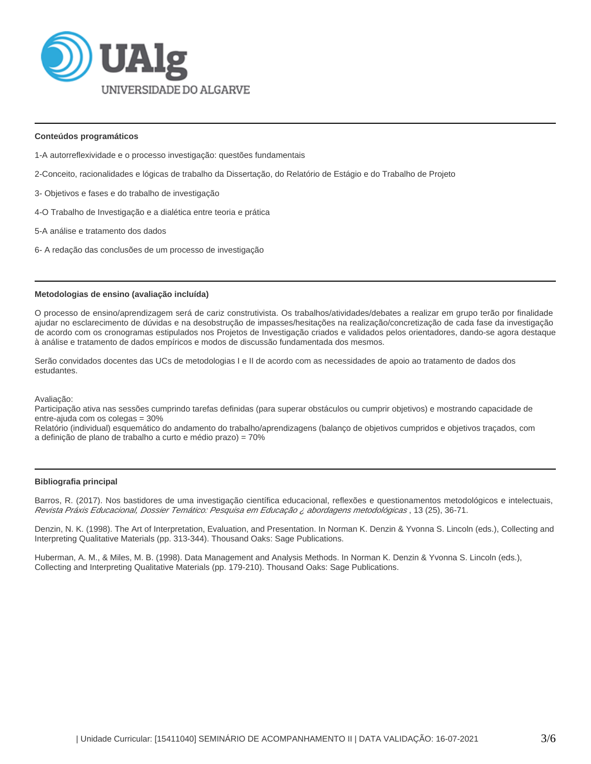

### **Conteúdos programáticos**

- 1-A autorreflexividade e o processo investigação: questões fundamentais
- 2-Conceito, racionalidades e lógicas de trabalho da Dissertação, do Relatório de Estágio e do Trabalho de Projeto
- 3- Objetivos e fases e do trabalho de investigação
- 4-O Trabalho de Investigação e a dialética entre teoria e prática
- 5-A análise e tratamento dos dados
- 6- A redação das conclusões de um processo de investigação

#### **Metodologias de ensino (avaliação incluída)**

O processo de ensino/aprendizagem será de cariz construtivista. Os trabalhos/atividades/debates a realizar em grupo terão por finalidade ajudar no esclarecimento de dúvidas e na desobstrução de impasses/hesitações na realização/concretização de cada fase da investigação de acordo com os cronogramas estipulados nos Projetos de Investigação criados e validados pelos orientadores, dando-se agora destaque à análise e tratamento de dados empíricos e modos de discussão fundamentada dos mesmos.

Serão convidados docentes das UCs de metodologias I e II de acordo com as necessidades de apoio ao tratamento de dados dos estudantes.

Avaliação:

Participação ativa nas sessões cumprindo tarefas definidas (para superar obstáculos ou cumprir objetivos) e mostrando capacidade de entre-ajuda com os colegas = 30%

Relatório (individual) esquemático do andamento do trabalho/aprendizagens (balanço de objetivos cumpridos e objetivos traçados, com a definição de plano de trabalho a curto e médio prazo) = 70%

#### **Bibliografia principal**

Barros, R. (2017). Nos bastidores de uma investigação científica educacional, reflexões e questionamentos metodológicos e intelectuais, Revista Práxis Educacional, Dossier Temático: Pesquisa em Educação ¿ abordagens metodológicas , 13 (25), 36-71.

Denzin, N. K. (1998). The Art of Interpretation, Evaluation, and Presentation. In Norman K. Denzin & Yvonna S. Lincoln (eds.), Collecting and Interpreting Qualitative Materials (pp. 313-344). Thousand Oaks: Sage Publications.

Huberman, A. M., & Miles, M. B. (1998). Data Management and Analysis Methods. In Norman K. Denzin & Yvonna S. Lincoln (eds.), Collecting and Interpreting Qualitative Materials (pp. 179-210). Thousand Oaks: Sage Publications.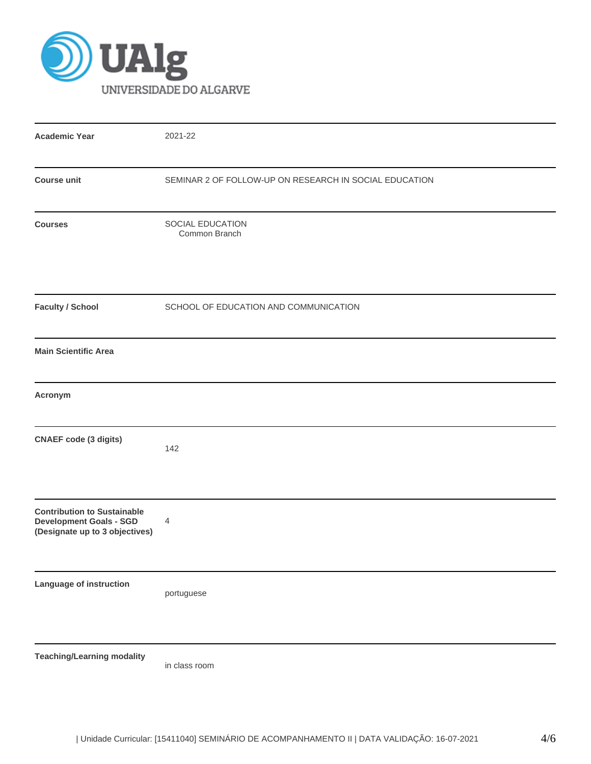

| <b>Academic Year</b>                                                                                   | 2021-22                                                |
|--------------------------------------------------------------------------------------------------------|--------------------------------------------------------|
| <b>Course unit</b>                                                                                     | SEMINAR 2 OF FOLLOW-UP ON RESEARCH IN SOCIAL EDUCATION |
| <b>Courses</b>                                                                                         | SOCIAL EDUCATION<br>Common Branch                      |
| <b>Faculty / School</b>                                                                                | SCHOOL OF EDUCATION AND COMMUNICATION                  |
| <b>Main Scientific Area</b>                                                                            |                                                        |
| Acronym                                                                                                |                                                        |
| <b>CNAEF</b> code (3 digits)                                                                           | 142                                                    |
| <b>Contribution to Sustainable</b><br><b>Development Goals - SGD</b><br>(Designate up to 3 objectives) | 4                                                      |
| Language of instruction                                                                                | portuguese                                             |
| <b>Teaching/Learning modality</b>                                                                      | in class room                                          |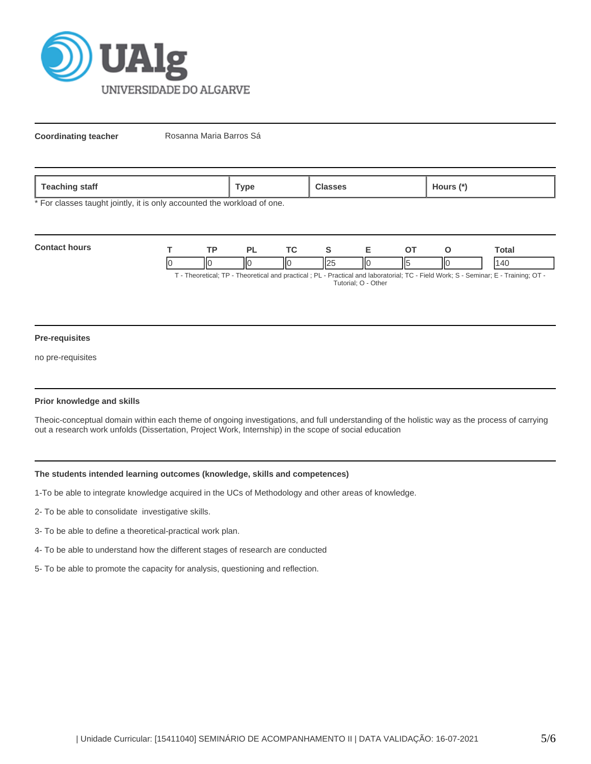

**Coordinating teacher** Rosanna Maria Barros Sá

| staff<br>, eacning | ™ype | ours (* |
|--------------------|------|---------|

\* For classes taught jointly, it is only accounted the workload of one.

| <b>Contact hours</b> | TD. |     |   |    | `otal                                                                                                                             |
|----------------------|-----|-----|---|----|-----------------------------------------------------------------------------------------------------------------------------------|
|                      |     | IІC | ⋯ | ШE |                                                                                                                                   |
|                      |     |     |   |    | . Theoratical: TP - Theoratical and practical : PL - Practical and laboratorial: TC - Field Work: S - Seminar: F - Training: OT - |

T - Theoretical; TP - Theoretical and practical ; PL - Practical and laboratorial; TC - Field Work; S - Seminar; E - Training; OT - Tutorial; O - Other

### **Pre-requisites**

no pre-requisites

## **Prior knowledge and skills**

Theoic-conceptual domain within each theme of ongoing investigations, and full understanding of the holistic way as the process of carrying out a research work unfolds (Dissertation, Project Work, Internship) in the scope of social education

## **The students intended learning outcomes (knowledge, skills and competences)**

1-To be able to integrate knowledge acquired in the UCs of Methodology and other areas of knowledge.

- 2- To be able to consolidate investigative skills.
- 3- To be able to define a theoretical-practical work plan.
- 4- To be able to understand how the different stages of research are conducted
- 5- To be able to promote the capacity for analysis, questioning and reflection.